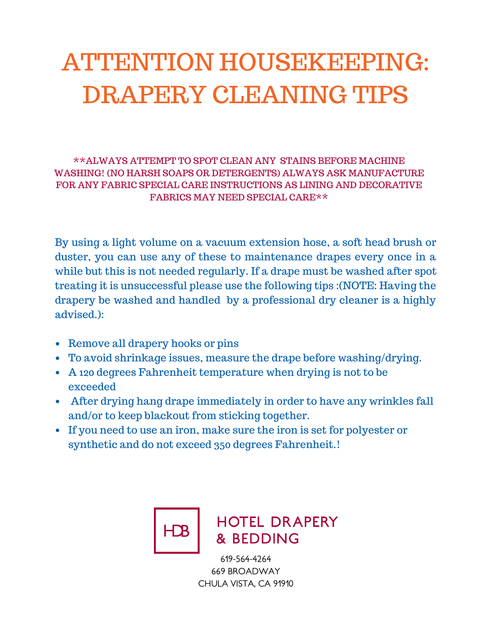## ATTENTION HOUSEKEEPING: DRAPERY CLEANING TIPS

\*\*ALWAYS ATTEMPT TO SPOT CLEAN ANY STAINS BEFORE MACHINE WASHING! (NO HARSH SOAPS OR DETERGENTS) ALWAYS ASK MANUFACTURE FOR ANY FABRIC SPECIAL CARE INSTRUCTIONS AS LINING AND DECORATIVE FABRICS MAY NEED SPECIAL CARE\*\*

By using a light volume on a vacuum extension hose, a soft head brush or duster, you can use any of these to maintenance drapes every once in a while but this is not needed regularly. If a drape must be washed after spot treating it is unsuccessful please use the following tips :(NOTE: Having the drapery be washed and handled by a professional dry cleaner is a highly advised.):

- Remove all drapery hooks or pins
- To avoid shrinkage issues, measure the drape before washing/drying.
- A 120 degrees Fahrenheit temperature when drying is not to be exceeded
- After drying hang drape immediately in order to have any wrinkles fall and/or to keep blackout from sticking together.
- If you need to use an iron, make sure the iron is set for polyester or synthetic and do not exceed 350 degrees Fahrenheit.!



## **HOTEL DRAPERY** & BEDDING

619-564-4264 669 BROADWAY CHULA VISTA, CA 91910